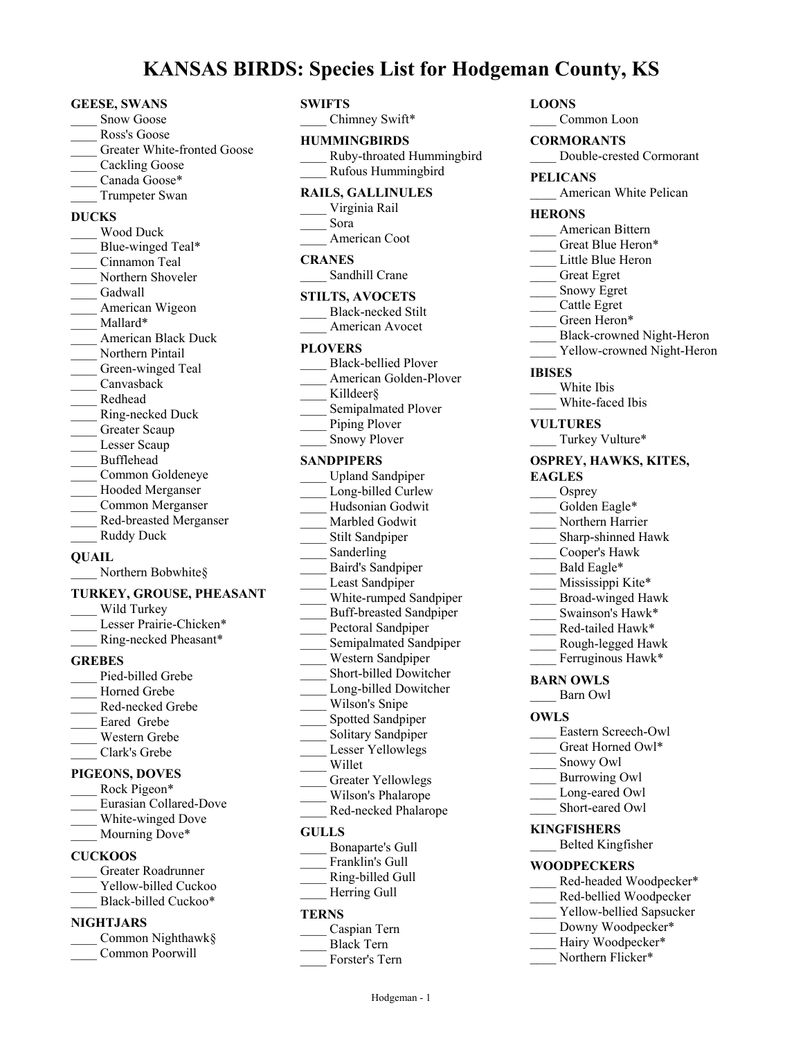# **KANSAS BIRDS: Species List for Hodgeman County, KS**

#### **GEESE, SWANS**

- Snow Goose
- \_\_\_\_ Ross's Goose
- Greater White-fronted Goose
- Cackling Goose
- Canada Goose\*
- \_\_\_\_ Trumpeter Swan

### **DUCKS**

\_\_\_\_ Wood Duck Blue-winged Teal\* \_\_\_\_ Cinnamon Teal Northern Shoveler Gadwall American Wigeon \_\_\_\_ Mallard\* \_\_\_\_ American Black Duck Northern Pintail Green-winged Teal \_\_\_\_ Canvasback \_\_\_\_ Redhead \_\_\_\_ Ring-necked Duck Greater Scaup Lesser Scaup \_\_\_\_ Bufflehead \_\_\_\_ Common Goldeneye Hooded Merganser \_\_\_\_ Common Merganser \_\_\_\_ Red-breasted Merganser Ruddy Duck

#### **QUAIL**

Northern Bobwhite§

#### **TURKEY, GROUSE, PHEASANT**

| Wild Turkey             |  |
|-------------------------|--|
| Lesser Prairie-Chicken* |  |
| Ring-necked Pheasant*   |  |
| <b>GREBES</b>           |  |
| Pied-billed Grebe       |  |
| Horned Grebe            |  |
| Red-necked Grebe        |  |

Eared Grebe \_\_\_\_ Western Grebe

#### \_\_\_\_ Clark's Grebe **PIGEONS, DOVES**

| <b>PIGEONS, DOVES</b> |
|-----------------------|
| $\mathbf{p}_{\alpha}$ |

| Rock Pigeon <sup>*</sup> |
|--------------------------|
| Eurasian Collared-Dove   |
| White-winged Dove        |
| Mourning Dove*           |

# **CUCKOOS**

- \_\_\_\_ Greater Roadrunner Yellow-billed Cuckoo
- Black-billed Cuckoo\*

# **NIGHTJARS**

| Common Nighthawk§ |
|-------------------|
| Common Poorwill   |

### **SWIFTS**

Chimney Swift\*

# **HUMMINGBIRDS**

\_\_\_\_ Ruby-throated Hummingbird \_\_\_\_ Rufous Hummingbird

# **RAILS, GALLINULES**

- \_\_\_\_ Virginia Rail \_\_\_\_ Sora American Coot **CRANES** Sandhill Crane **STILTS, AVOCETS**
	- Black-necked Stilt American Avocet

#### **PLOVERS**

- \_\_\_\_ Black-bellied Plover American Golden-Plover
- Killdeer§ Semipalmated Plover
- Piping Plover
- Snowy Plover

#### **SANDPIPERS**

- \_\_\_\_ Upland Sandpiper Long-billed Curlew \_\_\_\_ Hudsonian Godwit Marbled Godwit \_\_\_\_ Stilt Sandpiper Sanderling \_\_\_\_ Baird's Sandpiper Least Sandpiper White-rumped Sandpiper \_\_\_\_ Buff-breasted Sandpiper Pectoral Sandpiper Semipalmated Sandpiper \_\_\_\_ Western Sandpiper \_\_\_\_ Short-billed Dowitcher Long-billed Dowitcher Wilson's Snipe Spotted Sandpiper Solitary Sandpiper Lesser Yellowlegs \_\_\_\_ Willet Greater Yellowlegs \_\_\_\_ Wilson's Phalarope \_\_\_\_ Red-necked Phalarope **GULLS** \_\_\_\_ Bonaparte's Gull Franklin's Gull
- \_\_\_\_ Ring-billed Gull Herring Gull

# **TERNS**

| Caspian Tern      |
|-------------------|
| <b>Black Tern</b> |

Forster's Tern

# **LOONS**

\_\_\_\_ Common Loon

#### **CORMORANTS**

\_\_\_\_ Double-crested Cormorant

- **PELICANS**
	- American White Pelican

#### **HERONS**

- \_\_\_\_ American Bittern
- Great Blue Heron\*
- Little Blue Heron
- \_\_\_\_ Great Egret
- \_\_\_\_ Snowy Egret
- \_\_\_\_ Cattle Egret
- Green Heron\*
- \_\_\_\_ Black-crowned Night-Heron
- Yellow-crowned Night-Heron

#### **IBISES**

- \_\_\_\_ White Ibis
- \_\_\_\_ White-faced Ibis
- **VULTURES**
- Turkey Vulture\*

### **OSPREY, HAWKS, KITES,**

# **EAGLES**

- Osprey
- Golden Eagle\*
- Northern Harrier
- \_\_\_\_ Sharp-shinned Hawk
- \_\_\_\_ Cooper's Hawk
- Bald Eagle\*
- Mississippi Kite\*
- \_\_\_\_ Broad-winged Hawk
- Swainson's Hawk\*
- Red-tailed Hawk\*
- \_\_\_\_ Rough-legged Hawk
- Ferruginous Hawk\*

#### **BARN OWLS**

\_\_\_\_ Barn Owl

#### **OWLS**

- Eastern Screech-Owl
- Great Horned Owl\*
- Snowy Owl
- \_\_\_\_ Burrowing Owl
- Long-eared Owl
- Short-eared Owl

## **KINGFISHERS**

\_\_\_\_ Belted Kingfisher

### **WOODPECKERS**

- Red-headed Woodpecker\*
- Red-bellied Woodpecker
- Yellow-bellied Sapsucker
- Downy Woodpecker\*
- Hairy Woodpecker\*
- Northern Flicker\*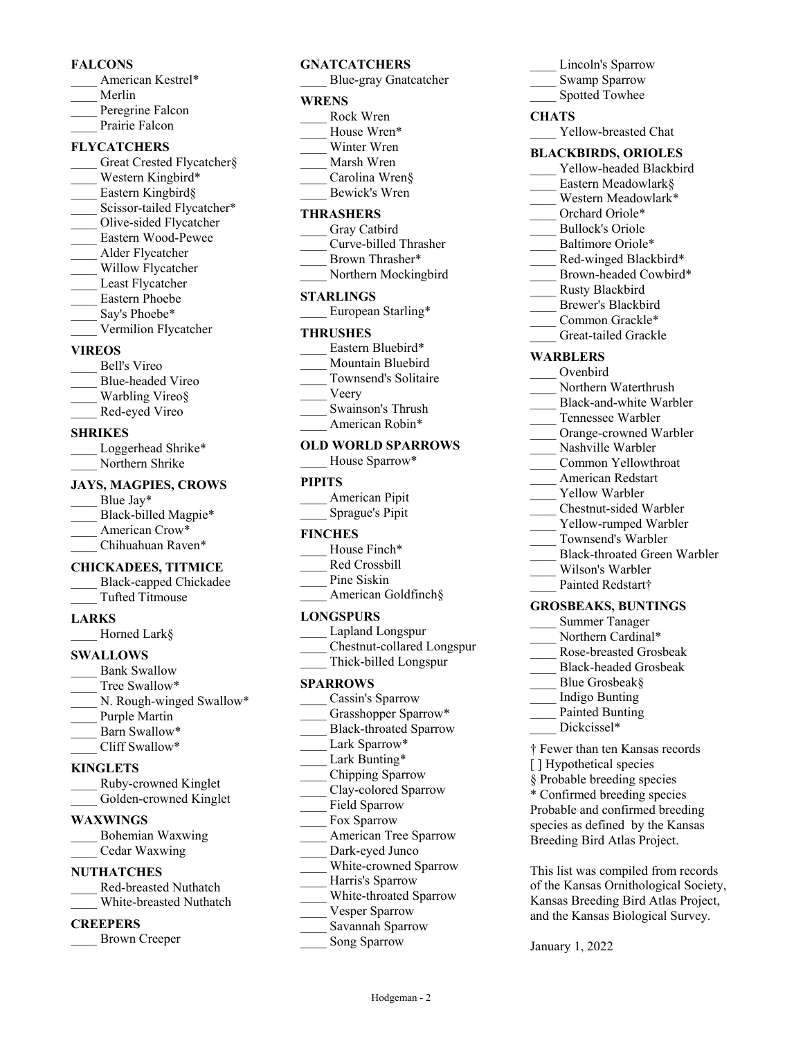#### **FALCONS**

- American Kestrel\*
- \_\_\_\_ Merlin
- Peregrine Falcon
- Prairie Falcon

# **FLYCATCHERS**

Great Crested Flycatcher§ Western Kingbird\* Eastern Kingbird§ Scissor-tailed Flycatcher\* \_\_\_\_ Olive-sided Flycatcher \_\_\_\_ Eastern Wood-Pewee \_\_\_\_ Alder Flycatcher Willow Flycatcher Least Flycatcher \_\_\_\_ Eastern Phoebe Say's Phoebe\* \_\_\_\_ Vermilion Flycatcher

### **VIREOS**

\_\_\_\_ Bell's Vireo \_\_\_\_ Blue-headed Vireo Warbling Vireo§ \_\_\_\_ Red-eyed Vireo

#### **SHRIKES**

| Loggerhead Shrike* |
|--------------------|
| Northern Shrike    |

#### **JAYS, MAGPIES, CROWS**

Blue Jay\* Black-billed Magpie\* American Crow\* Chihuahuan Raven\*

### **CHICKADEES, TITMICE**

- \_\_\_\_ Black-capped Chickadee
- \_\_\_\_ Tufted Titmouse

### **LARKS**

\_\_\_\_ Horned Lark§

### **SWALLOWS**

Bank Swallow Tree Swallow\* N. Rough-winged Swallow\* Purple Martin Barn Swallow\* \_\_\_\_ Cliff Swallow\*

### **KINGLETS**

| Ruby-crowned Kinglet   |
|------------------------|
| Golden-crowned Kinglet |

### **WAXWINGS**

\_\_\_\_ Bohemian Waxwing \_\_\_\_ Cedar Waxwing

### **NUTHATCHES**

- \_\_\_\_ Red-breasted Nuthatch
- \_\_\_\_ White-breasted Nuthatch

# **CREEPERS**

\_\_\_\_ Brown Creeper

# **GNATCATCHERS**

\_\_\_\_ Blue-gray Gnatcatcher

# **WRENS**

- \_\_\_\_ Rock Wren House Wren\*
- Winter Wren
- \_\_\_\_ Marsh Wren
- \_\_\_\_ Carolina Wren§
- \_\_\_\_ Bewick's Wren

### **THRASHERS**

- Gray Catbird
- \_\_\_\_ Curve-billed Thrasher Brown Thrasher\*
- Northern Mockingbird

#### **STARLINGS**

European Starling\*

#### **THRUSHES**

- Eastern Bluebird\*
- Mountain Bluebird
- \_\_\_\_ Townsend's Solitaire
- \_\_\_\_ Veery
- \_\_\_\_ Swainson's Thrush
- American Robin\*

# **OLD WORLD SPARROWS**

House Sparrow\*

### **PIPITS**

\_\_\_\_ American Pipit \_\_\_\_ Sprague's Pipit

### **FINCHES**

- House Finch\*
- \_\_\_\_ Red Crossbill
- Pine Siskin
- American Goldfinch§

### **LONGSPURS**

- \_\_\_\_ Lapland Longspur
- \_\_\_\_ Chestnut-collared Longspur
- \_\_\_\_ Thick-billed Longspur

### **SPARROWS**

- Cassin's Sparrow Grasshopper Sparrow\* \_\_\_\_ Black-throated Sparrow Lark Sparrow\* Lark Bunting\* \_\_\_\_ Chipping Sparrow \_\_\_\_ Clay-colored Sparrow Field Sparrow Fox Sparrow \_\_\_\_ American Tree Sparrow Dark-eyed Junco White-crowned Sparrow Harris's Sparrow
- \_\_\_\_ White-throated Sparrow

Hodgeman - 2

- Vesper Sparrow
- \_\_\_\_ Savannah Sparrow
- Song Sparrow

# Lincoln's Sparrow Swamp Sparrow Spotted Towhee

# **CHATS**

Yellow-breasted Chat

# **BLACKBIRDS, ORIOLES**

- Yellow-headed Blackbird
- Eastern Meadowlark $\delta$
- Western Meadowlark\*
- Orchard Oriole\*
- \_\_\_\_ Bullock's Oriole
- Baltimore Oriole\*
- Red-winged Blackbird\*
- Brown-headed Cowbird\*
- \_\_\_\_ Rusty Blackbird
- Brewer's Blackbird Common Grackle\*
- Great-tailed Grackle

#### **WARBLERS**

- \_\_\_\_ Ovenbird
- Northern Waterthrush
- Black-and-white Warbler
- \_\_\_\_ Tennessee Warbler
- Orange-crowned Warbler
- Nashville Warbler
- \_\_\_\_ Common Yellowthroat
- \_\_\_\_ American Redstart
- Yellow Warbler
- \_\_\_\_ Chestnut-sided Warbler
- Yellow-rumped Warbler
- \_\_\_\_ Townsend's Warbler

**GROSBEAKS, BUNTINGS** \_\_\_\_ Summer Tanager Northern Cardinal\* \_\_\_\_ Rose-breasted Grosbeak \_\_\_\_ Black-headed Grosbeak

> Blue Grosbeak§ \_\_\_\_ Indigo Bunting Painted Bunting Dickcissel\*

[ ] Hypothetical species § Probable breeding species \* Confirmed breeding species Probable and confirmed breeding species as defined by the Kansas Breeding Bird Atlas Project.

January 1, 2022

† Fewer than ten Kansas records

This list was compiled from records of the Kansas Ornithological Society, Kansas Breeding Bird Atlas Project, and the Kansas Biological Survey.

- \_\_\_\_ Black-throated Green Warbler
- Wilson's Warbler Painted Redstart†